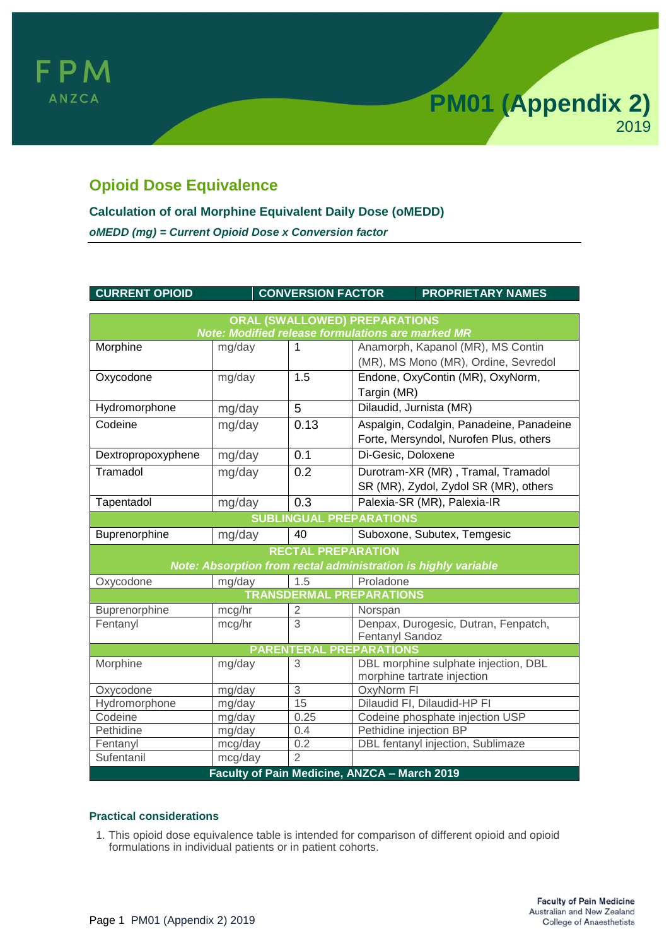

# **Opioid Dose Equivalence**

## **Calculation of oral Morphine Equivalent Daily Dose (oMEDD)**

*oMEDD (mg) = Current Opioid Dose x Conversion factor*

#### **CURRENT OPIOID CONVERSION FACTOR PROPRIETARY NAMES**

| <b>ORAL (SWALLOWED) PREPARATIONS</b>                           |         |                |                                              |
|----------------------------------------------------------------|---------|----------------|----------------------------------------------|
| Note: Modified release formulations are marked MR              |         |                |                                              |
| Morphine                                                       | mg/day  | 1              | Anamorph, Kapanol (MR), MS Contin            |
|                                                                |         |                | (MR), MS Mono (MR), Ordine, Sevredol         |
| Oxycodone                                                      | mg/day  | 1.5            | Endone, OxyContin (MR), OxyNorm,             |
|                                                                |         |                | Targin (MR)                                  |
| Hydromorphone                                                  | mg/day  | 5              | Dilaudid, Jurnista (MR)                      |
| Codeine                                                        | mg/day  | 0.13           | Aspalgin, Codalgin, Panadeine, Panadeine     |
|                                                                |         |                | Forte, Mersyndol, Nurofen Plus, others       |
| Dextropropoxyphene                                             | mg/day  | 0.1            | Di-Gesic, Doloxene                           |
| Tramadol                                                       | mg/day  | 0.2            | Durotram-XR (MR), Tramal, Tramadol           |
|                                                                |         |                | SR (MR), Zydol, Zydol SR (MR), others        |
| Tapentadol                                                     | mg/day  | 0.3            | Palexia-SR (MR), Palexia-IR                  |
| <b>SUBLINGUAL PREPARATIONS</b>                                 |         |                |                                              |
| Buprenorphine                                                  | mg/day  | 40             | Suboxone, Subutex, Temgesic                  |
| <b>RECTAL PREPARATION</b>                                      |         |                |                                              |
| Note: Absorption from rectal administration is highly variable |         |                |                                              |
| Oxycodone                                                      | mg/day  | 1.5            | Proladone                                    |
| <b>TRANSDERMAL PREPARATIONS</b>                                |         |                |                                              |
| Buprenorphine                                                  | mcg/hr  | 2              | Norspan                                      |
| Fentanyl                                                       | mcg/hr  | $\overline{3}$ | Denpax, Durogesic, Dutran, Fenpatch,         |
|                                                                |         |                | Fentanyl Sandoz                              |
| <b>PARENTERAL PREPARATIONS</b>                                 |         |                |                                              |
| Morphine                                                       | mg/day  | 3              | DBL morphine sulphate injection, DBL         |
|                                                                |         |                | morphine tartrate injection                  |
| Oxycodone                                                      | mg/day  | $\sqrt{3}$     | OxyNorm FI                                   |
| Hydromorphone                                                  | mg/day  | 15             | Dilaudid FI, Dilaudid-HP FI                  |
| Codeine                                                        | mg/day  | 0.25           | Codeine phosphate injection USP              |
| Pethidine                                                      | mg/day  | 0.4            | Pethidine injection BP                       |
| Fentanyl                                                       | mcg/day | 0.2            | DBL fentanyl injection, Sublimaze            |
| Sufentanil                                                     | mcg/day | $\overline{2}$ |                                              |
|                                                                |         |                | Faculty of Pain Medicine, ANZCA - March 2019 |

### **Practical considerations**

1. This opioid dose equivalence table is intended for comparison of different opioid and opioid formulations in individual patients or in patient cohorts.

**PM01 (Appendix 2)**

2019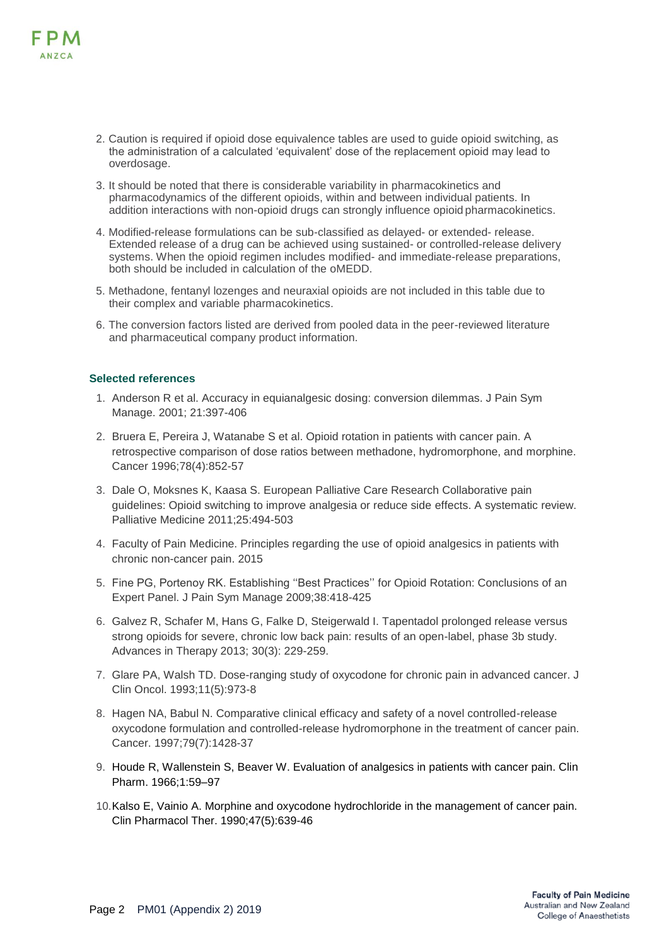

- 2. Caution is required if opioid dose equivalence tables are used to guide opioid switching, as the administration of a calculated 'equivalent' dose of the replacement opioid may lead to overdosage.
- 3. It should be noted that there is considerable variability in pharmacokinetics and pharmacodynamics of the different opioids, within and between individual patients. In addition interactions with non-opioid drugs can strongly influence opioid pharmacokinetics.
- 4. Modified-release formulations can be sub-classified as delayed- or extended- release. Extended release of a drug can be achieved using sustained- or controlled-release delivery systems. When the opioid regimen includes modified- and immediate-release preparations, both should be included in calculation of the oMEDD.
- 5. Methadone, fentanyl lozenges and neuraxial opioids are not included in this table due to their complex and variable pharmacokinetics.
- 6. The conversion factors listed are derived from pooled data in the peer-reviewed literature and pharmaceutical company product information.

#### **Selected references**

- 1. [Anderson R et al. Accuracy in equianalgesic dosing: conversion dilemmas. J Pain Sym](https://www.sciencedirect.com/science/article/pii/S0885392401002718) [Manage. 2001; 21:397-406](https://www.sciencedirect.com/science/article/pii/S0885392401002718)
- 2. [Bruera E, Pereira J, Watanabe S et al. Opioid rotation in patients with cancer pain. A](https://www.ncbi.nlm.nih.gov/pubmed/8756381) [retrospective comparison of dose ratios between methadone, hydromorphone, and](https://www.ncbi.nlm.nih.gov/pubmed/8756381) [morphine.](https://www.ncbi.nlm.nih.gov/pubmed/8756381)  [Cancer 1996;78\(4\):852-57](https://www.ncbi.nlm.nih.gov/pubmed/8756381)
- 3. [Dale O, Moksnes K, Kaasa S. European Palliative Care Research Collaborative pain](https://journals.sagepub.com/doi/abs/10.1177/0269216310384902) [guidelines: Opioid switching to improve analgesia or reduce side](https://journals.sagepub.com/doi/abs/10.1177/0269216310384902) effects. A systematic [review.](https://journals.sagepub.com/doi/abs/10.1177/0269216310384902)  [Palliative Medicine 2011;25:494-503](https://journals.sagepub.com/doi/abs/10.1177/0269216310384902)
- 4. [Faculty of Pain Medicine. Principles regarding](http://fpm.anzca.edu.au/documents/pm1-2010) the use of opioid analgesics in patients wit[h](http://fpm.anzca.edu.au/documents/pm1-2010) [chronic non-cancer pain. 2015](http://fpm.anzca.edu.au/documents/pm1-2010)
- 5. [Fine PG, Portenoy RK. Establishing ''Best Practices''](https://www.ncbi.nlm.nih.gov/pubmed/19735902) for Opioid Rotation: Conclusions of a[n](https://www.ncbi.nlm.nih.gov/pubmed/19735902) [Expert Panel. J Pain Sym Manage 2009;38:418-425](https://www.ncbi.nlm.nih.gov/pubmed/19735902)
- 6. [Galvez R, Schafer M, Hans G, Falke D, Steigerwald I. Tapentadol prolonged release versus](https://link.springer.com/content/pdf/10.1007%2Fs12325-013-0015-6.pdf) [strong opioids for severe, chronic low back pain: results of an open-label, phase 3b study.](https://link.springer.com/content/pdf/10.1007%2Fs12325-013-0015-6.pdf) [Advances in Therapy 2013; 30\(3\): 229-259.](https://link.springer.com/content/pdf/10.1007%2Fs12325-013-0015-6.pdf)
- 7. [Glare PA, Walsh TD. Dose-ranging study of oxycodone for chronic pain in advanced](https://www.ncbi.nlm.nih.gov/pubmed/8487060) [cancer. J](https://www.ncbi.nlm.nih.gov/pubmed/8487060)  [Clin Oncol. 1993;11\(5\):973-8](https://www.ncbi.nlm.nih.gov/pubmed/8487060)
- 8. [Hagen NA, Babul N. Comparative clinical efficacy and safety of a novel controlled-release](https://onlinelibrary.wiley.com/doi/full/10.1002/%28SICI%291097-0142%2819970401%2979%3A7%3C1428%3A%3AAID-CNCR21%3E3.0.CO%3B2-0) [oxycodone formulation and controlled-release hydromorphone in the treatment of cancer](https://onlinelibrary.wiley.com/doi/full/10.1002/%28SICI%291097-0142%2819970401%2979%3A7%3C1428%3A%3AAID-CNCR21%3E3.0.CO%3B2-0) [pain.](https://onlinelibrary.wiley.com/doi/full/10.1002/%28SICI%291097-0142%2819970401%2979%3A7%3C1428%3A%3AAID-CNCR21%3E3.0.CO%3B2-0)  [Cancer. 1997;79\(7\):1428-37](https://onlinelibrary.wiley.com/doi/full/10.1002/%28SICI%291097-0142%2819970401%2979%3A7%3C1428%3A%3AAID-CNCR21%3E3.0.CO%3B2-0)
- 9. Houde R, Wallenstein S, Beaver W. Evaluation of analgesics in patients with cancer pain. Clin Pharm. 1966;1:59–97
- 10.Kalso E, Vainio A. Morphine and oxycodone hydrochloride in the management of cancer pain. Clin Pharmacol Ther. 1990;47(5):639-46